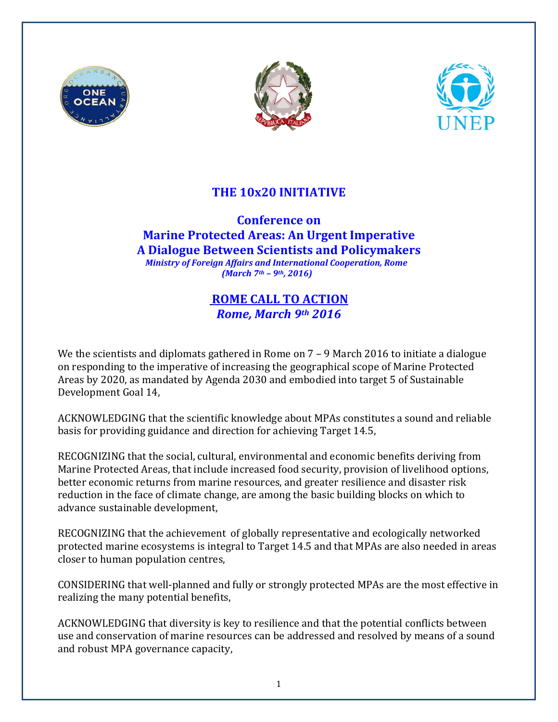





## **THE 10x20 INITIATIVE**

**Conference on Marine Protected Areas: An Urgent Imperative A Dialogue Between Scientists and Policymakers** *Ministry of Foreign Affairs and International Cooperation, Rome (March 7th – 9th, 2016)*

## **ROME CALL TO ACTION** *Rome, March 9th 2016*

We the scientists and diplomats gathered in Rome on 7 – 9 March 2016 to initiate a dialogue on responding to the imperative of increasing the geographical scope of Marine Protected Areas by 2020, as mandated by Agenda 2030 and embodied into target 5 of Sustainable Development Goal 14,

ACKNOWLEDGING that the scientific knowledge about MPAs constitutes a sound and reliable basis for providing guidance and direction for achieving Target 14.5,

RECOGNIZING that the social, cultural, environmental and economic benefits deriving from Marine Protected Areas, that include increased food security, provision of livelihood options, better economic returns from marine resources, and greater resilience and disaster risk reduction in the face of climate change, are among the basic building blocks on which to advance sustainable development,

RECOGNIZING that the achievement of globally representative and ecologically networked protected marine ecosystems is integral to Target 14.5 and that MPAs are also needed in areas closer to human population centres,

CONSIDERING that well-planned and fully or strongly protected MPAs are the most effective in realizing the many potential benefits,

ACKNOWLEDGING that diversity is key to resilience and that the potential conflicts between use and conservation of marine resources can be addressed and resolved by means of a sound and robust MPA governance capacity,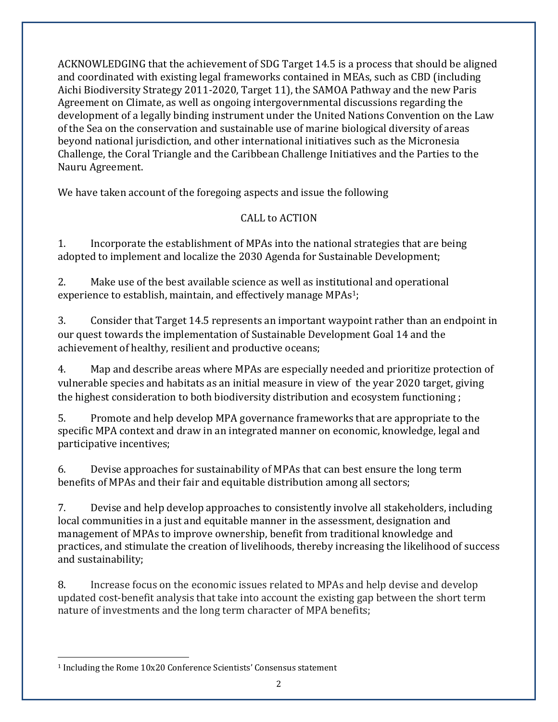ACKNOWLEDGING that the achievement of SDG Target 14.5 is a process that should be aligned and coordinated with existing legal frameworks contained in MEAs, such as CBD (including Aichi Biodiversity Strategy 2011-2020, Target 11), the SAMOA Pathway and the new Paris Agreement on Climate, as well as ongoing intergovernmental discussions regarding the development of a legally binding instrument under the United Nations Convention on the Law of the Sea on the conservation and sustainable use of marine biological diversity of areas beyond national jurisdiction, and other international initiatives such as the Micronesia Challenge, the Coral Triangle and the Caribbean Challenge Initiatives and the Parties to the Nauru Agreement.

We have taken account of the foregoing aspects and issue the following

## CALL to ACTION

1. Incorporate the establishment of MPAs into the national strategies that are being adopted to implement and localize the 2030 Agenda for Sustainable Development;

2. Make use of the best available science as well as institutional and operational experience to establish, maintain, and effectively manage MPAs<sup>1</sup>;

3. Consider that Target 14.5 represents an important waypoint rather than an endpoint in our quest towards the implementation of Sustainable Development Goal 14 and the achievement of healthy, resilient and productive oceans;

4. Map and describe areas where MPAs are especially needed and prioritize protection of vulnerable species and habitats as an initial measure in view of the year 2020 target, giving the highest consideration to both biodiversity distribution and ecosystem functioning ;

5. Promote and help develop MPA governance frameworks that are appropriate to the specific MPA context and draw in an integrated manner on economic, knowledge, legal and participative incentives;

6. Devise approaches for sustainability of MPAs that can best ensure the long term benefits of MPAs and their fair and equitable distribution among all sectors;

7. Devise and help develop approaches to consistently involve all stakeholders, including local communities in a just and equitable manner in the assessment, designation and management of MPAs to improve ownership, benefit from traditional knowledge and practices, and stimulate the creation of livelihoods, thereby increasing the likelihood of success and sustainability;

8. Increase focus on the economic issues related to MPAs and help devise and develop updated cost-benefit analysis that take into account the existing gap between the short term nature of investments and the long term character of MPA benefits;

 <sup>1</sup> Including the Rome 10x20 Conference Scientists' Consensus statement